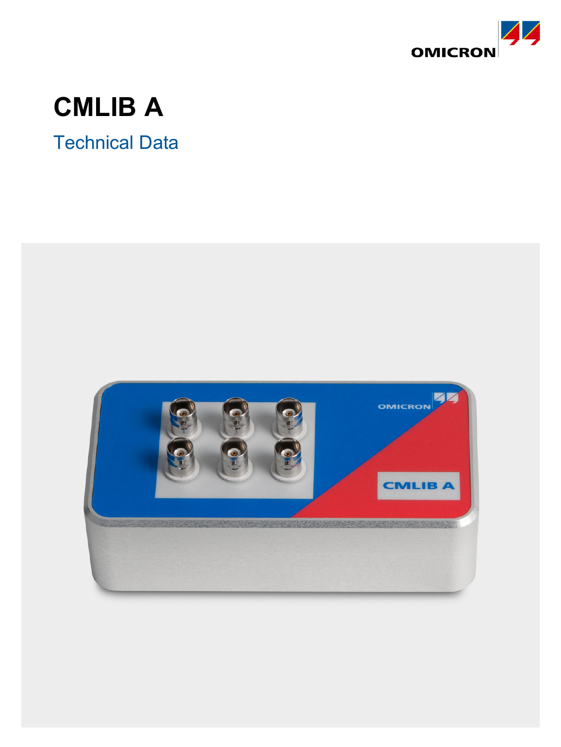

## **CMLIB A**

Technical Data

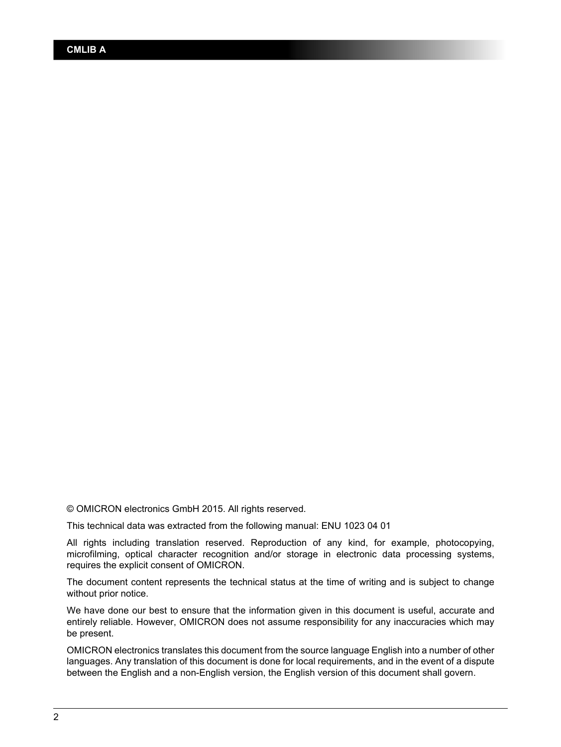© OMICRON electronics GmbH 2015. All rights reserved.

This technical data was extracted from the following manual: ENU 1023 04 01

All rights including translation reserved. Reproduction of any kind, for example, photocopying, microfilming, optical character recognition and/or storage in electronic data processing systems, requires the explicit consent of OMICRON.

The document content represents the technical status at the time of writing and is subject to change without prior notice.

We have done our best to ensure that the information given in this document is useful, accurate and entirely reliable. However, OMICRON does not assume responsibility for any inaccuracies which may be present.

OMICRON electronics translates this document from the source language English into a number of other languages. Any translation of this document is done for local requirements, and in the event of a dispute between the English and a non-English version, the English version of this document shall govern.